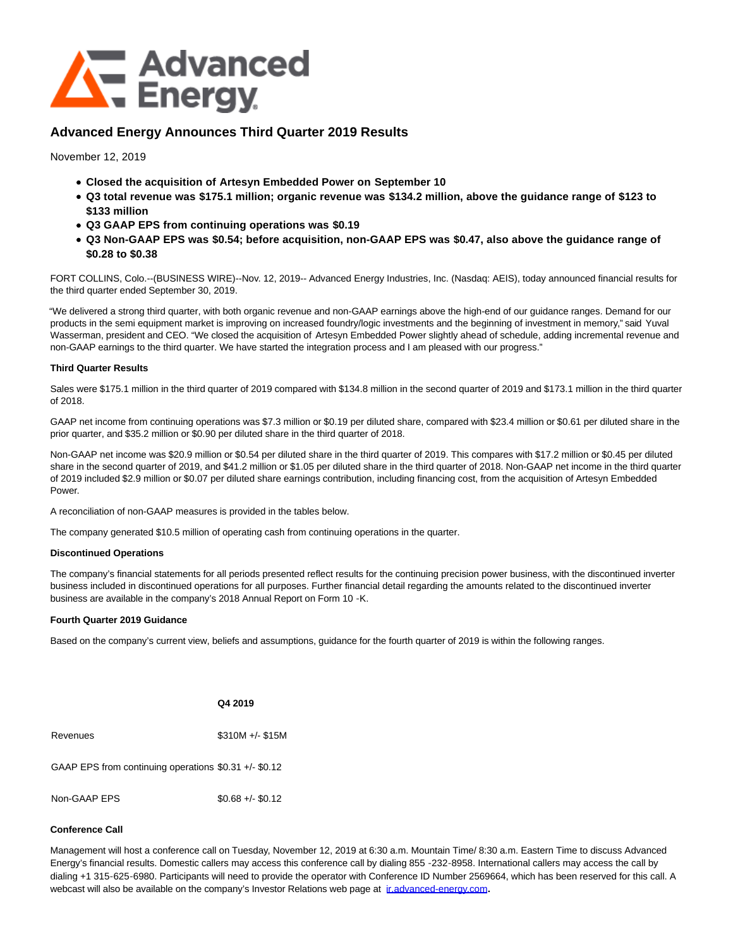

# **Advanced Energy Announces Third Quarter 2019 Results**

November 12, 2019

- **Closed the acquisition of Artesyn Embedded Power on September 10**
- **Q3 total revenue was \$175.1 million; organic revenue was \$134.2 million, above the guidance range of \$123 to \$133 million**
- **Q3 GAAP EPS from continuing operations was \$0.19**
- **Q3 Non-GAAP EPS was \$0.54; before acquisition, non-GAAP EPS was \$0.47, also above the guidance range of \$0.28 to \$0.38**

FORT COLLINS, Colo.--(BUSINESS WIRE)--Nov. 12, 2019-- Advanced Energy Industries, Inc. (Nasdaq: AEIS), today announced financial results for the third quarter ended September 30, 2019.

"We delivered a strong third quarter, with both organic revenue and non-GAAP earnings above the high-end of our guidance ranges. Demand for our products in the semi equipment market is improving on increased foundry/logic investments and the beginning of investment in memory," said Yuval Wasserman, president and CEO. "We closed the acquisition of Artesyn Embedded Power slightly ahead of schedule, adding incremental revenue and non-GAAP earnings to the third quarter. We have started the integration process and I am pleased with our progress."

### **Third Quarter Results**

Sales were \$175.1 million in the third quarter of 2019 compared with \$134.8 million in the second quarter of 2019 and \$173.1 million in the third quarter of 2018.

GAAP net income from continuing operations was \$7.3 million or \$0.19 per diluted share, compared with \$23.4 million or \$0.61 per diluted share in the prior quarter, and \$35.2 million or \$0.90 per diluted share in the third quarter of 2018.

Non-GAAP net income was \$20.9 million or \$0.54 per diluted share in the third quarter of 2019. This compares with \$17.2 million or \$0.45 per diluted share in the second quarter of 2019, and \$41.2 million or \$1.05 per diluted share in the third quarter of 2018. Non-GAAP net income in the third quarter of 2019 included \$2.9 million or \$0.07 per diluted share earnings contribution, including financing cost, from the acquisition of Artesyn Embedded Power.

A reconciliation of non-GAAP measures is provided in the tables below.

The company generated \$10.5 million of operating cash from continuing operations in the quarter.

### **Discontinued Operations**

The company's financial statements for all periods presented reflect results for the continuing precision power business, with the discontinued inverter business included in discontinued operations for all purposes. Further financial detail regarding the amounts related to the discontinued inverter business are available in the company's 2018 Annual Report on Form 10 ‑K.

### **Fourth Quarter 2019 Guidance**

Based on the company's current view, beliefs and assumptions, guidance for the fourth quarter of 2019 is within the following ranges.

|                                                       | Q4 2019           |
|-------------------------------------------------------|-------------------|
| Revenues                                              | $$310M +/- $15M$  |
| GAAP EPS from continuing operations $$0.31 +/- $0.12$ |                   |
| Non-GAAP FPS                                          | $$0.68 +/- $0.12$ |

### **Conference Call**

Management will host a conference call on Tuesday, November 12, 2019 at 6:30 a.m. Mountain Time/ 8:30 a.m. Eastern Time to discuss Advanced Energy's financial results. Domestic callers may access this conference call by dialing 855 ‑232‑8958. International callers may access the call by dialing +1 315‑625‑6980. Participants will need to provide the operator with Conference ID Number 2569664, which has been reserved for this call. A webcast will also be available on the company's Investor Relations web page at [ir.advanced-energy.com](https://cts.businesswire.com/ct/CT?id=smartlink&url=http%3A%2F%2Fir.advanced-energy.com&esheet=52127265&newsitemid=20191112005433&lan=en-US&anchor=ir.advanced-energy.com&index=1&md5=55a34d86af5a9acc857ac51408eff403)**.**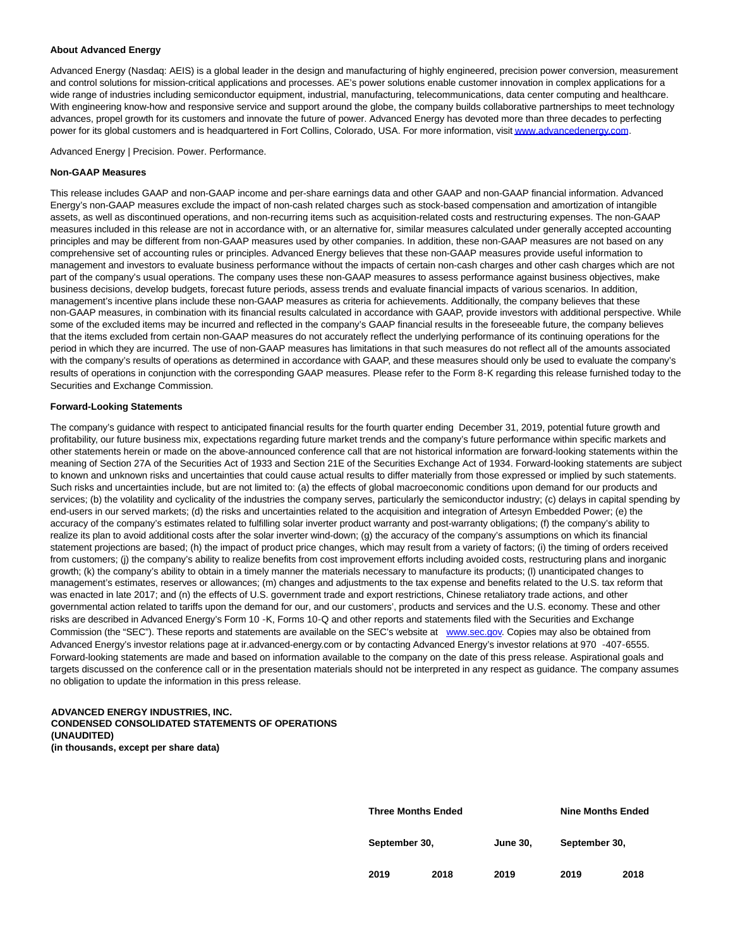#### **About Advanced Energy**

Advanced Energy (Nasdaq: AEIS) is a global leader in the design and manufacturing of highly engineered, precision power conversion, measurement and control solutions for mission-critical applications and processes. AE's power solutions enable customer innovation in complex applications for a wide range of industries including semiconductor equipment, industrial, manufacturing, telecommunications, data center computing and healthcare. With engineering know-how and responsive service and support around the globe, the company builds collaborative partnerships to meet technology advances, propel growth for its customers and innovate the future of power. Advanced Energy has devoted more than three decades to perfecting power for its global customers and is headquartered in Fort Collins, Colorado, USA. For more information, visi[t www.advancedenergy.com.](https://cts.businesswire.com/ct/CT?id=smartlink&url=http%3A%2F%2Fwww.advancedenergy.com&esheet=52127265&newsitemid=20191112005433&lan=en-US&anchor=www.advancedenergy.com&index=2&md5=4c4939e61896cd2820bfa15dd040f6b8)

Advanced Energy | Precision. Power. Performance.

#### **Non-GAAP Measures**

This release includes GAAP and non-GAAP income and per-share earnings data and other GAAP and non-GAAP financial information. Advanced Energy's non-GAAP measures exclude the impact of non-cash related charges such as stock-based compensation and amortization of intangible assets, as well as discontinued operations, and non-recurring items such as acquisition-related costs and restructuring expenses. The non-GAAP measures included in this release are not in accordance with, or an alternative for, similar measures calculated under generally accepted accounting principles and may be different from non-GAAP measures used by other companies. In addition, these non-GAAP measures are not based on any comprehensive set of accounting rules or principles. Advanced Energy believes that these non-GAAP measures provide useful information to management and investors to evaluate business performance without the impacts of certain non-cash charges and other cash charges which are not part of the company's usual operations. The company uses these non-GAAP measures to assess performance against business objectives, make business decisions, develop budgets, forecast future periods, assess trends and evaluate financial impacts of various scenarios. In addition, management's incentive plans include these non-GAAP measures as criteria for achievements. Additionally, the company believes that these non-GAAP measures, in combination with its financial results calculated in accordance with GAAP, provide investors with additional perspective. While some of the excluded items may be incurred and reflected in the company's GAAP financial results in the foreseeable future, the company believes that the items excluded from certain non-GAAP measures do not accurately reflect the underlying performance of its continuing operations for the period in which they are incurred. The use of non-GAAP measures has limitations in that such measures do not reflect all of the amounts associated with the company's results of operations as determined in accordance with GAAP, and these measures should only be used to evaluate the company's results of operations in conjunction with the corresponding GAAP measures. Please refer to the Form 8‑K regarding this release furnished today to the Securities and Exchange Commission.

#### **Forward-Looking Statements**

The company's guidance with respect to anticipated financial results for the fourth quarter ending December 31, 2019, potential future growth and profitability, our future business mix, expectations regarding future market trends and the company's future performance within specific markets and other statements herein or made on the above-announced conference call that are not historical information are forward-looking statements within the meaning of Section 27A of the Securities Act of 1933 and Section 21E of the Securities Exchange Act of 1934. Forward-looking statements are subject to known and unknown risks and uncertainties that could cause actual results to differ materially from those expressed or implied by such statements. Such risks and uncertainties include, but are not limited to: (a) the effects of global macroeconomic conditions upon demand for our products and services; (b) the volatility and cyclicality of the industries the company serves, particularly the semiconductor industry; (c) delays in capital spending by end-users in our served markets; (d) the risks and uncertainties related to the acquisition and integration of Artesyn Embedded Power; (e) the accuracy of the company's estimates related to fulfilling solar inverter product warranty and post-warranty obligations; (f) the company's ability to realize its plan to avoid additional costs after the solar inverter wind-down; (g) the accuracy of the company's assumptions on which its financial statement projections are based; (h) the impact of product price changes, which may result from a variety of factors; (i) the timing of orders received from customers; (j) the company's ability to realize benefits from cost improvement efforts including avoided costs, restructuring plans and inorganic growth; (k) the company's ability to obtain in a timely manner the materials necessary to manufacture its products; (l) unanticipated changes to management's estimates, reserves or allowances; (m) changes and adjustments to the tax expense and benefits related to the U.S. tax reform that was enacted in late 2017; and (n) the effects of U.S. government trade and export restrictions, Chinese retaliatory trade actions, and other governmental action related to tariffs upon the demand for our, and our customers', products and services and the U.S. economy. These and other risks are described in Advanced Energy's Form 10 ‑K, Forms 10‑Q and other reports and statements filed with the Securities and Exchange Commission (the "SEC"). These reports and statements are available on the SEC's website at [www.sec.gov.](https://cts.businesswire.com/ct/CT?id=smartlink&url=http%3A%2F%2Fwww.sec.gov&esheet=52127265&newsitemid=20191112005433&lan=en-US&anchor=www.sec.gov&index=3&md5=ecc530dcf05a6343b79f0a8a5f0c5d16) Copies may also be obtained from Advanced Energy's investor relations page at ir.advanced-energy.com or by contacting Advanced Energy's investor relations at 970 ‑407‑6555. Forward-looking statements are made and based on information available to the company on the date of this press release. Aspirational goals and targets discussed on the conference call or in the presentation materials should not be interpreted in any respect as guidance. The company assumes no obligation to update the information in this press release.

#### **ADVANCED ENERGY INDUSTRIES, INC. CONDENSED CONSOLIDATED STATEMENTS OF OPERATIONS (UNAUDITED) (in thousands, except per share data)**

| <b>Three Months Ended</b> |      |                 | <b>Nine Months Ended</b> |      |
|---------------------------|------|-----------------|--------------------------|------|
| September 30,             |      | <b>June 30.</b> | September 30,            |      |
| 2019                      | 2018 | 2019            | 2019                     | 2018 |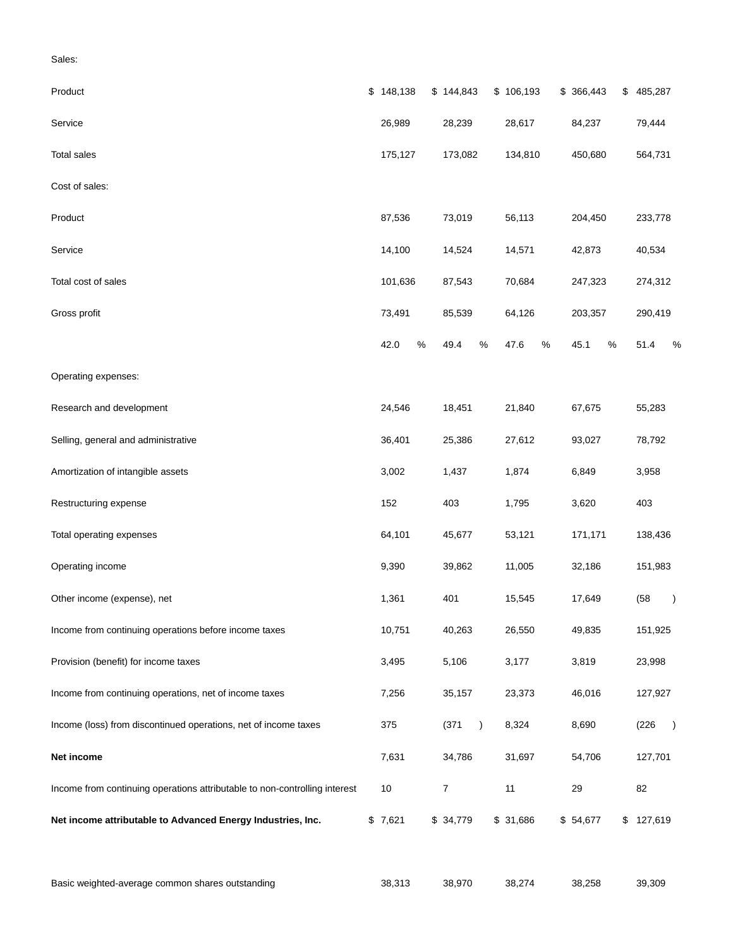| Product                                                                    | \$148,138    | \$144,843          | \$106,193    | \$ 366,443   | \$<br>485,287          |
|----------------------------------------------------------------------------|--------------|--------------------|--------------|--------------|------------------------|
| Service                                                                    | 26,989       | 28,239             | 28,617       | 84,237       | 79,444                 |
| <b>Total sales</b>                                                         | 175,127      | 173,082            | 134,810      | 450,680      | 564,731                |
| Cost of sales:                                                             |              |                    |              |              |                        |
| Product                                                                    | 87,536       | 73,019             | 56,113       | 204,450      | 233,778                |
| Service                                                                    | 14,100       | 14,524             | 14,571       | 42,873       | 40,534                 |
| Total cost of sales                                                        | 101,636      | 87,543             | 70,684       | 247,323      | 274,312                |
| Gross profit                                                               | 73,491       | 85,539             | 64,126       | 203,357      | 290,419                |
|                                                                            | 42.0<br>$\%$ | $\%$<br>49.4       | 47.6<br>$\%$ | $\%$<br>45.1 | 51.4<br>%              |
| Operating expenses:                                                        |              |                    |              |              |                        |
| Research and development                                                   | 24,546       | 18,451             | 21,840       | 67,675       | 55,283                 |
| Selling, general and administrative                                        | 36,401       | 25,386             | 27,612       | 93,027       | 78,792                 |
| Amortization of intangible assets                                          | 3,002        | 1,437              | 1,874        | 6,849        | 3,958                  |
| Restructuring expense                                                      | 152          | 403                | 1,795        | 3,620        | 403                    |
| Total operating expenses                                                   | 64,101       | 45,677             | 53,121       | 171,171      | 138,436                |
| Operating income                                                           | 9,390        | 39,862             | 11,005       | 32,186       | 151,983                |
| Other income (expense), net                                                | 1,361        | 401                | 15,545       | 17,649       | (58)<br>$\lambda$      |
| Income from continuing operations before income taxes                      | 10,751       | 40,263             | 26,550       | 49,835       | 151,925                |
| Provision (benefit) for income taxes                                       | 3,495        | 5,106              | 3,177        | 3,819        | 23,998                 |
| Income from continuing operations, net of income taxes                     | 7,256        | 35,157             | 23,373       | 46,016       | 127,927                |
| Income (loss) from discontinued operations, net of income taxes            | 375          | (371)<br>$\lambda$ | 8,324        | 8,690        | (226)<br>$\rightarrow$ |
| Net income                                                                 | 7,631        | 34,786             | 31,697       | 54,706       | 127,701                |
| Income from continuing operations attributable to non-controlling interest | 10           | $\overline{7}$     | 11           | 29           | 82                     |
| Net income attributable to Advanced Energy Industries, Inc.                | \$7,621      | \$34,779           | \$31,686     | \$54,677     | \$127,619              |

Basic weighted-average common shares outstanding and the state of 38,313 38,970 38,274 38,258 39,309

Sales: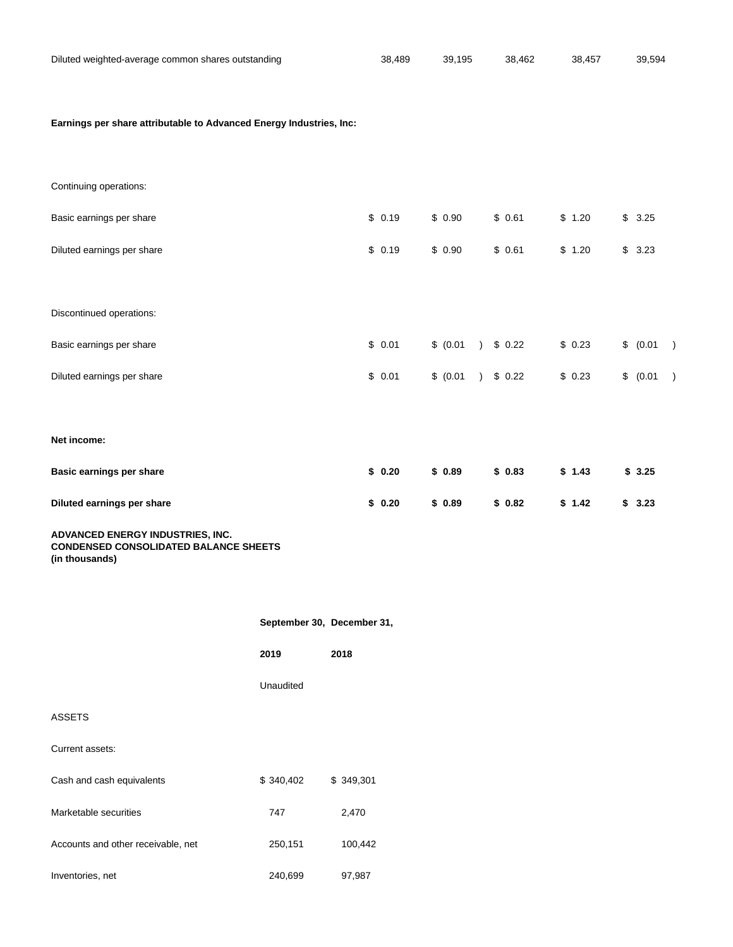| Diluted weighted-average common shares outstanding | 38.489 | 39.195 | 38.462 | 38.457 | 39.594 |
|----------------------------------------------------|--------|--------|--------|--------|--------|
|                                                    |        |        |        |        |        |

# **Earnings per share attributable to Advanced Energy Industries, Inc:**

| Continuing operations:     |        |                        |        |        |                            |
|----------------------------|--------|------------------------|--------|--------|----------------------------|
| Basic earnings per share   | \$0.19 | \$0.90                 | \$0.61 | \$1.20 | $\mathbb{S}$<br>3.25       |
| Diluted earnings per share | \$0.19 | \$0.90                 | \$0.61 | \$1.20 | \$<br>3.23                 |
|                            |        |                        |        |        |                            |
| Discontinued operations:   |        |                        |        |        |                            |
| Basic earnings per share   | \$0.01 | \$ (0.01)<br>$\lambda$ | \$0.22 | \$0.23 | \$ (0.01)<br>$\rightarrow$ |
| Diluted earnings per share | \$0.01 | \$ (0.01)              | \$0.22 | \$0.23 | \$ (0.01)<br>$\rightarrow$ |
|                            |        |                        |        |        |                            |
| Net income:                |        |                        |        |        |                            |
| Basic earnings per share   | \$0.20 | \$0.89                 | \$0.83 | \$1.43 | \$3.25                     |
| Diluted earnings per share | \$0.20 | \$0.89                 | \$0.82 | \$1.42 | \$3.23                     |

## **ADVANCED ENERGY INDUSTRIES, INC. CONDENSED CONSOLIDATED BALANCE SHEETS (in thousands)**

|                                    | September 30, December 31, |           |
|------------------------------------|----------------------------|-----------|
|                                    | 2019                       | 2018      |
|                                    | Unaudited                  |           |
| <b>ASSETS</b>                      |                            |           |
| Current assets:                    |                            |           |
| Cash and cash equivalents          | \$340,402                  | \$349,301 |
| Marketable securities              | 747                        | 2,470     |
| Accounts and other receivable, net | 250,151                    | 100,442   |
| Inventories, net                   | 240,699                    | 97,987    |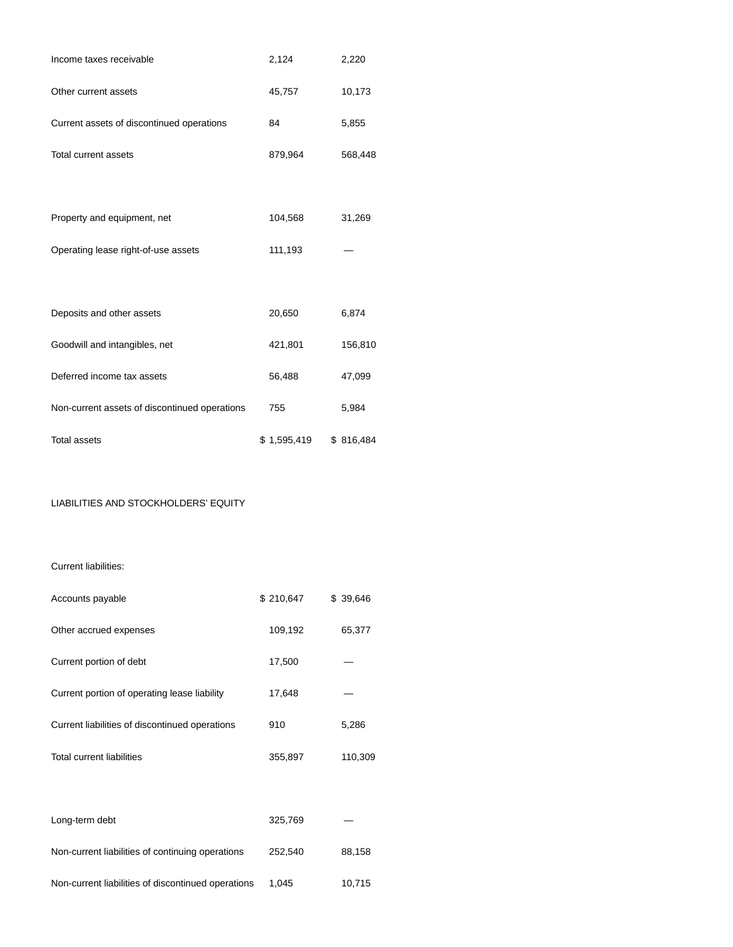| Income taxes receivable                       | 2,124       | 2,220     |
|-----------------------------------------------|-------------|-----------|
| Other current assets                          | 45,757      | 10,173    |
| Current assets of discontinued operations     | 84          | 5,855     |
| <b>Total current assets</b>                   | 879,964     | 568,448   |
|                                               |             |           |
| Property and equipment, net                   | 104,568     | 31,269    |
| Operating lease right-of-use assets           | 111,193     |           |
|                                               |             |           |
| Deposits and other assets                     | 20,650      | 6,874     |
| Goodwill and intangibles, net                 | 421,801     | 156,810   |
| Deferred income tax assets                    | 56,488      | 47,099    |
| Non-current assets of discontinued operations | 755         | 5,984     |
| <b>Total assets</b>                           | \$1,595,419 | \$816,484 |

# LIABILITIES AND STOCKHOLDERS' EQUITY

Current liabilities:

| Accounts payable                                   | \$210,647 | \$ 39,646 |
|----------------------------------------------------|-----------|-----------|
| Other accrued expenses                             | 109,192   | 65,377    |
| Current portion of debt                            | 17,500    |           |
| Current portion of operating lease liability       | 17,648    |           |
| Current liabilities of discontinued operations     | 910       | 5,286     |
| <b>Total current liabilities</b>                   | 355,897   | 110,309   |
|                                                    |           |           |
| Long-term debt                                     | 325,769   |           |
| Non-current liabilities of continuing operations   | 252,540   | 88,158    |
| Non-current liabilities of discontinued operations | 1,045     | 10,715    |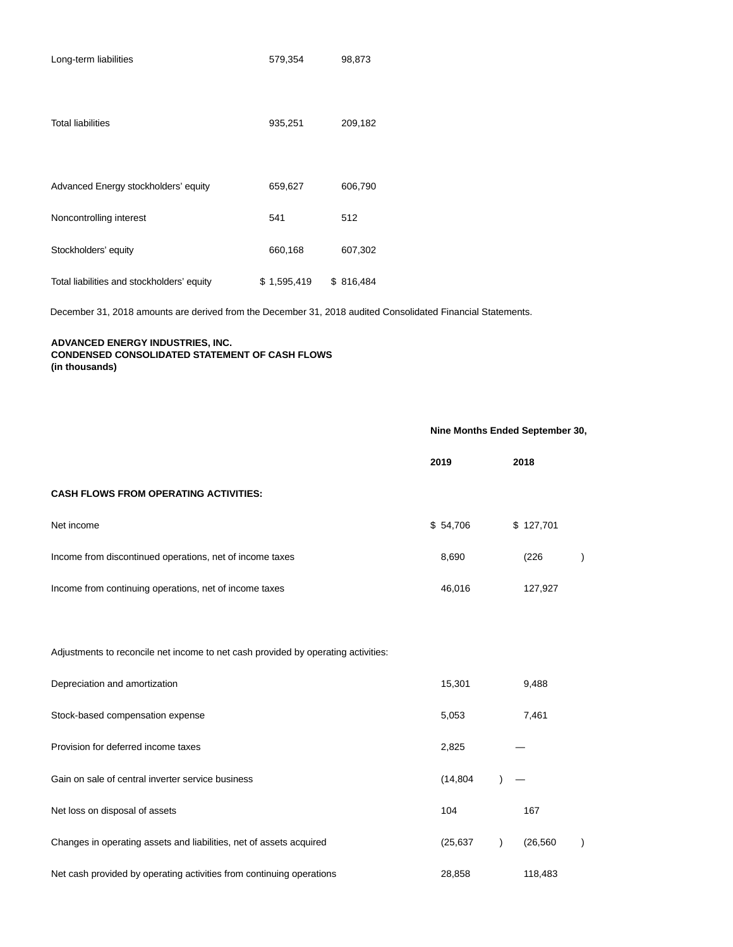| Long-term liabilities                      | 579,354     | 98,873    |
|--------------------------------------------|-------------|-----------|
| <b>Total liabilities</b>                   | 935,251     | 209,182   |
| Advanced Energy stockholders' equity       | 659,627     | 606,790   |
| Noncontrolling interest                    | 541         | 512       |
| Stockholders' equity                       | 660,168     | 607,302   |
| Total liabilities and stockholders' equity | \$1,595,419 | \$816,484 |

December 31, 2018 amounts are derived from the December 31, 2018 audited Consolidated Financial Statements.

# **ADVANCED ENERGY INDUSTRIES, INC. CONDENSED CONSOLIDATED STATEMENT OF CASH FLOWS (in thousands)**

|                                                                                   | Nine Months Ended September 30, |                        |  |
|-----------------------------------------------------------------------------------|---------------------------------|------------------------|--|
|                                                                                   | 2019                            | 2018                   |  |
| <b>CASH FLOWS FROM OPERATING ACTIVITIES:</b>                                      |                                 |                        |  |
| Net income                                                                        | \$54,706                        | \$127,701              |  |
| Income from discontinued operations, net of income taxes                          | 8,690                           | (226)                  |  |
| Income from continuing operations, net of income taxes                            | 46,016                          | 127,927                |  |
| Adjustments to reconcile net income to net cash provided by operating activities: |                                 |                        |  |
| Depreciation and amortization                                                     | 15,301                          | 9,488                  |  |
| Stock-based compensation expense                                                  | 5,053                           | 7,461                  |  |
| Provision for deferred income taxes                                               | 2,825                           |                        |  |
| Gain on sale of central inverter service business                                 | (14, 804)                       |                        |  |
| Net loss on disposal of assets                                                    | 104                             | 167                    |  |
| Changes in operating assets and liabilities, net of assets acquired               | (25, 637)                       | (26, 560)<br>$\lambda$ |  |
| Net cash provided by operating activities from continuing operations              | 28,858                          | 118,483                |  |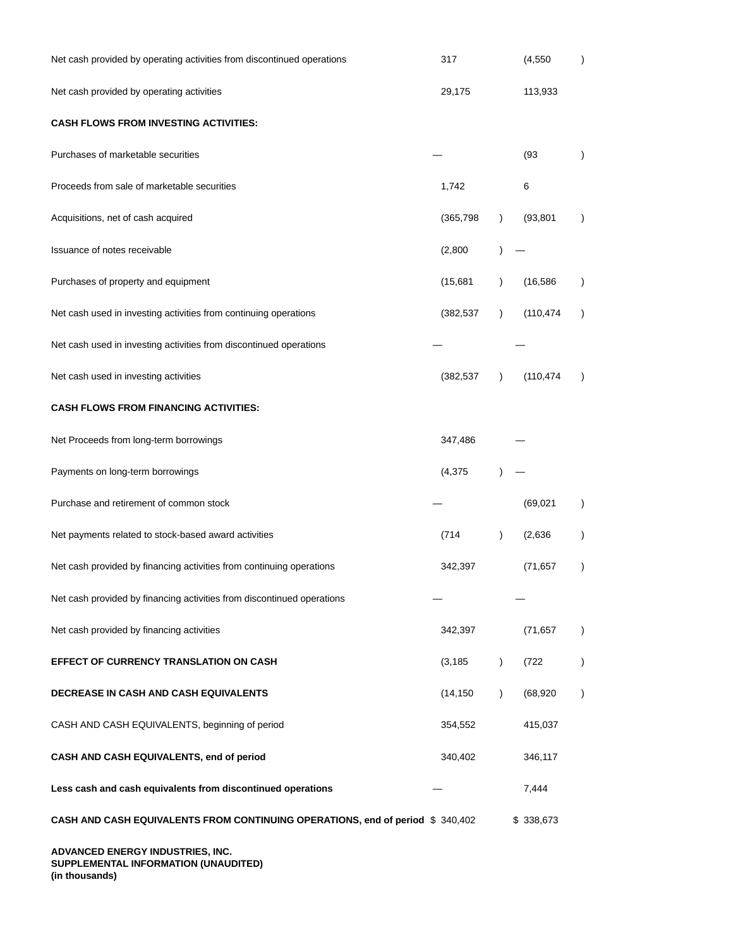| Net cash provided by operating activities from discontinued operations         | 317        |               | (4, 550)   |               |
|--------------------------------------------------------------------------------|------------|---------------|------------|---------------|
| Net cash provided by operating activities                                      | 29,175     |               | 113,933    |               |
| <b>CASH FLOWS FROM INVESTING ACTIVITIES:</b>                                   |            |               |            |               |
| Purchases of marketable securities                                             |            |               | (93)       | $\mathcal{E}$ |
| Proceeds from sale of marketable securities                                    | 1,742      |               | 6          |               |
| Acquisitions, net of cash acquired                                             | (365, 798) | $\lambda$     | (93, 801)  |               |
| Issuance of notes receivable                                                   | (2,800)    |               |            |               |
| Purchases of property and equipment                                            | (15,681)   | $\lambda$     | (16, 586)  | $\lambda$     |
| Net cash used in investing activities from continuing operations               | (382, 537) | $\lambda$     | (110, 474) | $\lambda$     |
| Net cash used in investing activities from discontinued operations             |            |               |            |               |
| Net cash used in investing activities                                          | (382, 537) | $\lambda$     | (110, 474) | $\lambda$     |
| CASH FLOWS FROM FINANCING ACTIVITIES:                                          |            |               |            |               |
| Net Proceeds from long-term borrowings                                         | 347,486    |               |            |               |
| Payments on long-term borrowings                                               | (4, 375)   |               |            |               |
| Purchase and retirement of common stock                                        |            |               | (69, 021)  | $\lambda$     |
| Net payments related to stock-based award activities                           | (714       | $\mathcal{E}$ | (2,636)    |               |
| Net cash provided by financing activities from continuing operations           | 342,397    |               | (71, 657)  | $\mathcal{E}$ |
| Net cash provided by financing activities from discontinued operations         |            |               |            |               |
| Net cash provided by financing activities                                      | 342,397    |               | (71, 657)  | $\lambda$     |
| EFFECT OF CURRENCY TRANSLATION ON CASH                                         | (3, 185)   | $\lambda$     | (722)      | $\lambda$     |
| DECREASE IN CASH AND CASH EQUIVALENTS                                          | (14, 150)  | $\lambda$     | (68, 920)  | $\lambda$     |
| CASH AND CASH EQUIVALENTS, beginning of period                                 | 354,552    |               | 415,037    |               |
| CASH AND CASH EQUIVALENTS, end of period                                       | 340,402    |               | 346,117    |               |
| Less cash and cash equivalents from discontinued operations                    |            |               | 7,444      |               |
| CASH AND CASH EQUIVALENTS FROM CONTINUING OPERATIONS, end of period \$ 340,402 |            |               | \$338,673  |               |
| ADVANCED ENERGY INDUSTRIES, INC.                                               |            |               |            |               |

**SUPPLEMENTAL INFORMATION (UNAUDITED) (in thousands)**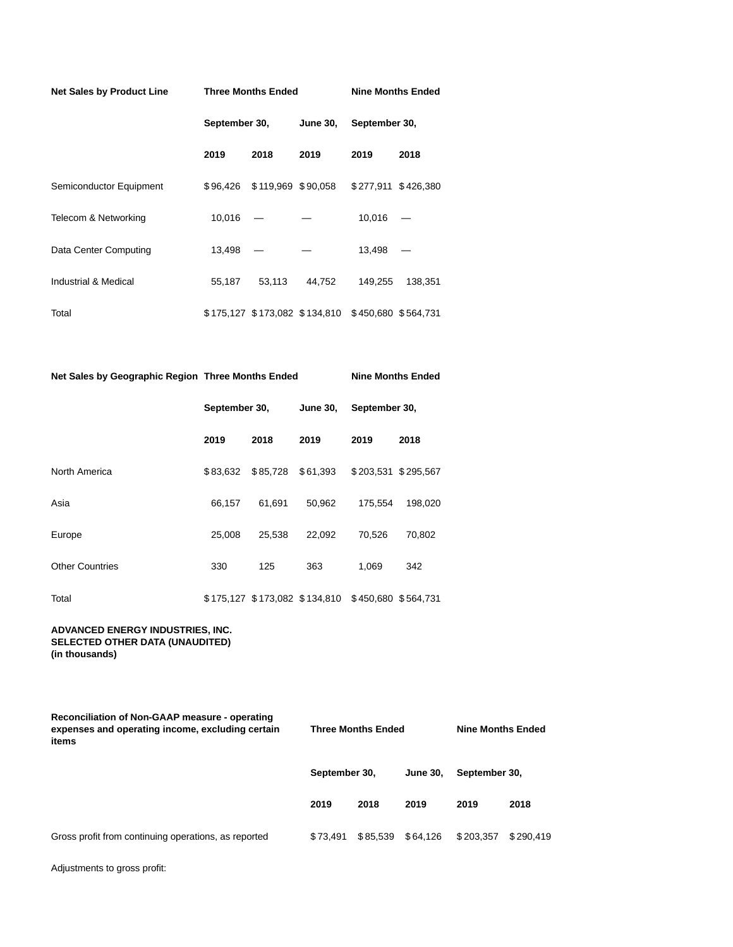| Net Sales by Product Line |               | <b>Three Months Ended</b> | <b>Nine Months Ended</b>                          |               |                     |  |
|---------------------------|---------------|---------------------------|---------------------------------------------------|---------------|---------------------|--|
|                           | September 30, |                           | June 30,                                          | September 30, |                     |  |
|                           | 2019          | 2018                      | 2019                                              | 2019          | 2018                |  |
| Semiconductor Equipment   |               |                           | \$96,426 \$119,969 \$90,058                       |               | \$277,911 \$426,380 |  |
| Telecom & Networking      | 10,016        |                           |                                                   | 10,016        |                     |  |
| Data Center Computing     | 13,498        |                           |                                                   | 13,498        |                     |  |
| Industrial & Medical      | 55,187        | 53,113                    | 44.752                                            | 149,255       | 138,351             |  |
| Total                     |               |                           | \$175,127 \$173,082 \$134,810 \$450,680 \$564,731 |               |                     |  |

| Net Sales by Geographic Region Three Months Ended |               |          | <b>Nine Months Ended</b>                          |                     |         |  |
|---------------------------------------------------|---------------|----------|---------------------------------------------------|---------------------|---------|--|
|                                                   | September 30, |          | <b>June 30,</b>                                   | September 30,       |         |  |
|                                                   | 2019          | 2018     | 2019                                              | 2019                | 2018    |  |
| North America                                     | \$83.632      | \$85,728 | \$61,393                                          | \$203,531 \$295,567 |         |  |
| Asia                                              | 66,157        | 61,691   | 50,962                                            | 175,554             | 198,020 |  |
| Europe                                            | 25.008        | 25,538   | 22,092                                            | 70,526              | 70,802  |  |
| <b>Other Countries</b>                            | 330           | 125      | 363                                               | 1,069               | 342     |  |
| Total                                             |               |          | \$175,127 \$173,082 \$134,810 \$450,680 \$564,731 |                     |         |  |

**ADVANCED ENERGY INDUSTRIES, INC. SELECTED OTHER DATA (UNAUDITED) (in thousands)**

| Reconciliation of Non-GAAP measure - operating<br>expenses and operating income, excluding certain<br>items |               | <b>Three Months Ended</b> |                 |               | <b>Nine Months Ended</b> |  |  |
|-------------------------------------------------------------------------------------------------------------|---------------|---------------------------|-----------------|---------------|--------------------------|--|--|
|                                                                                                             | September 30, |                           | <b>June 30.</b> | September 30, |                          |  |  |
|                                                                                                             | 2019          | 2018                      | 2019            | 2019          | 2018                     |  |  |
| Gross profit from continuing operations, as reported                                                        | \$73.491      | \$85.539                  | \$64.126        | \$203.357     | \$290.419                |  |  |

Adjustments to gross profit: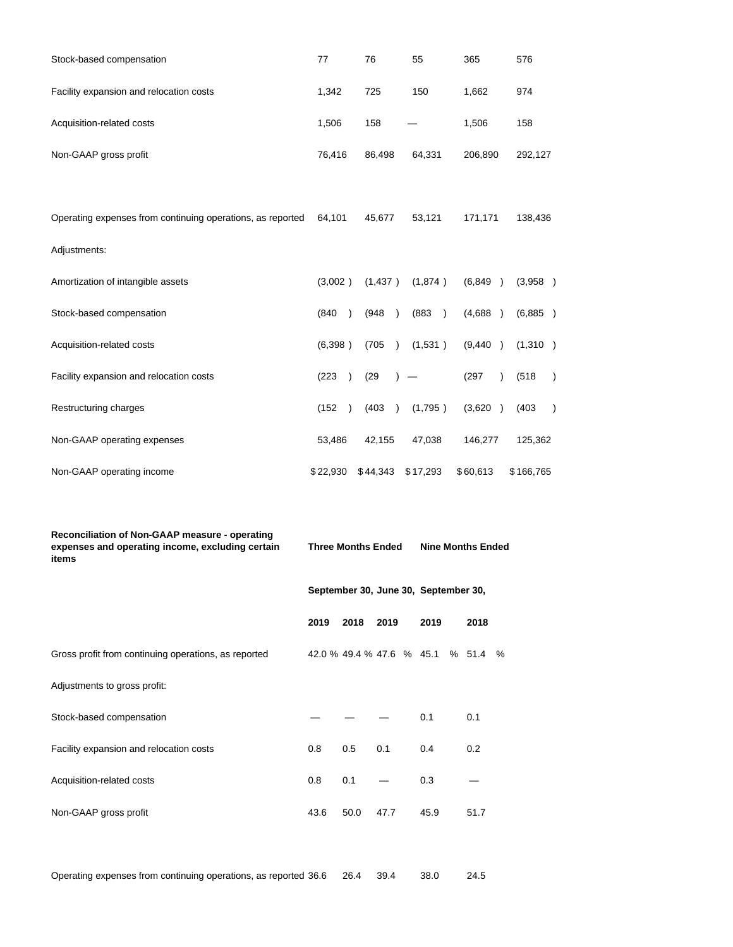| Reconciliation of Non-GAAP measure - operating<br>expenses and operating income, excluding certain | <b>Three Months Ended</b> |                        |                        | <b>Nine Months Ended</b> |                        |  |
|----------------------------------------------------------------------------------------------------|---------------------------|------------------------|------------------------|--------------------------|------------------------|--|
|                                                                                                    |                           |                        |                        |                          |                        |  |
| Non-GAAP operating income                                                                          | \$22,930                  | \$44,343               | \$17,293               | \$60,613                 | \$166,765              |  |
| Non-GAAP operating expenses                                                                        | 53,486                    | 42,155                 | 47,038                 | 146,277                  | 125,362                |  |
| Restructuring charges                                                                              | (152)<br>$\lambda$        | (403)<br>$\lambda$     | (1,795)                | (3,620)                  | (403)<br>$\mathcal{E}$ |  |
| Facility expansion and relocation costs                                                            | (223)<br>$\lambda$        | (29)                   |                        | (297)<br>$\lambda$       | (518)<br>$\mathcal{E}$ |  |
| Acquisition-related costs                                                                          | (6,398)                   | (705)<br>$\rightarrow$ | (1,531)                | (9,440)                  | (1,310)                |  |
| Stock-based compensation                                                                           | (840)<br>$\lambda$        | (948)<br>$\lambda$     | (883)<br>$\rightarrow$ | (4,688)                  | (6,885)                |  |
| Amortization of intangible assets                                                                  | (3,002)                   | (1,437)                | (1,874)                | (6,849)                  | (3,958)                |  |
| Adjustments:                                                                                       |                           |                        |                        |                          |                        |  |
| Operating expenses from continuing operations, as reported                                         | 64,101                    | 45,677                 |                        | 171,171                  | 138,436                |  |
|                                                                                                    |                           |                        |                        |                          |                        |  |
| Non-GAAP gross profit                                                                              | 76,416                    | 86,498                 | 64,331                 | 206,890                  | 292,127                |  |
| Acquisition-related costs                                                                          | 1,506                     | 158                    |                        | 1,506                    | 158                    |  |
| Facility expansion and relocation costs                                                            | 1,342                     | 725                    | 150                    | 1,662                    | 974                    |  |
| Stock-based compensation                                                                           | 77                        | 76                     | 55                     | 365                      | 576                    |  |

| items                                                |      |      |      |                                      |      |  |  |
|------------------------------------------------------|------|------|------|--------------------------------------|------|--|--|
|                                                      |      |      |      | September 30, June 30, September 30, |      |  |  |
|                                                      | 2019 | 2018 | 2019 | 2019                                 | 2018 |  |  |
| Gross profit from continuing operations, as reported |      |      |      | 42.0 % 49.4 % 47.6 % 45.1 % 51.4 %   |      |  |  |
| Adjustments to gross profit:                         |      |      |      |                                      |      |  |  |
| Stock-based compensation                             |      |      |      | 0.1                                  | 0.1  |  |  |
| Facility expansion and relocation costs              | 0.8  | 0.5  | 0.1  | 0.4                                  | 0.2  |  |  |
| Acquisition-related costs                            | 0.8  | 0.1  |      | 0.3                                  |      |  |  |
| Non-GAAP gross profit                                | 43.6 | 50.0 | 47.7 | 45.9                                 | 51.7 |  |  |
|                                                      |      |      |      |                                      |      |  |  |

Operating expenses from continuing operations, as reported 36.6 26.4 39.4 38.0 24.5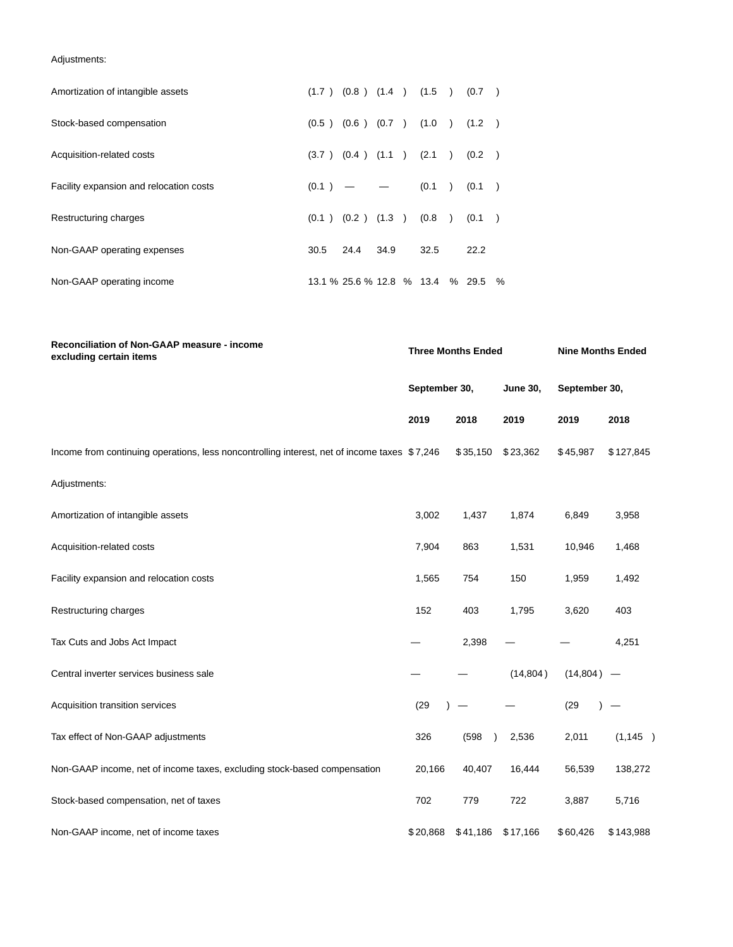Adjustments:

| Amortization of intangible assets       |       | $(1.7)$ $(0.8)$ $(1.4)$ $(1.5)$ $(0.7)$ |      |       |               |          |  |
|-----------------------------------------|-------|-----------------------------------------|------|-------|---------------|----------|--|
| Stock-based compensation                |       | $(0.5)$ $(0.6)$ $(0.7)$ $(1.0)$ $(1.2)$ |      |       |               |          |  |
| Acquisition-related costs               |       | $(3.7)$ $(0.4)$ $(1.1)$                 |      | (2.1) | $\rightarrow$ | (0.2)    |  |
| Facility expansion and relocation costs | (0.1) | $\qquad \qquad -$                       |      | (0.1) | $\rightarrow$ | (0.1)    |  |
| Restructuring charges                   |       | $(0.1)$ $(0.2)$ $(1.3)$                 |      | (0.8) |               | (0.1)    |  |
| Non-GAAP operating expenses             | 30.5  | 24.4                                    | 34.9 | 32.5  |               | 22.2     |  |
| Non-GAAP operating income               |       | 13.1 % 25.6 % 12.8 % 13.4               |      |       |               | % 29.5 % |  |

| Reconciliation of Non-GAAP measure - income<br>excluding certain items                       |                               | <b>Three Months Ended</b> | <b>Nine Months Ended</b> |               |           |
|----------------------------------------------------------------------------------------------|-------------------------------|---------------------------|--------------------------|---------------|-----------|
|                                                                                              | September 30,<br>2018<br>2019 |                           | <b>June 30,</b>          | September 30, |           |
|                                                                                              |                               |                           | 2019                     | 2019          | 2018      |
| Income from continuing operations, less noncontrolling interest, net of income taxes \$7,246 |                               | \$35,150                  | \$23,362                 | \$45,987      | \$127,845 |
| Adjustments:                                                                                 |                               |                           |                          |               |           |
| Amortization of intangible assets                                                            | 3,002<br>1,437                |                           | 1,874                    | 6,849         | 3,958     |
| Acquisition-related costs                                                                    | 7,904                         | 863                       | 1,531                    | 10,946        | 1,468     |
| Facility expansion and relocation costs                                                      | 1,565                         | 754                       | 150                      | 1,959         | 1,492     |
| Restructuring charges                                                                        | 152                           | 403                       | 1,795                    | 3,620         | 403       |
| Tax Cuts and Jobs Act Impact                                                                 |                               | 2,398                     |                          |               | 4,251     |
| Central inverter services business sale                                                      |                               |                           | (14, 804)                | (14, 804)     |           |
| Acquisition transition services                                                              | (29)                          |                           |                          | (29)          |           |
| Tax effect of Non-GAAP adjustments                                                           | 326                           | (598)<br>$\lambda$        | 2,536                    | 2,011         | (1, 145)  |
| Non-GAAP income, net of income taxes, excluding stock-based compensation                     | 20,166                        | 40,407                    | 16,444                   | 56,539        | 138,272   |
| Stock-based compensation, net of taxes                                                       | 702                           | 779                       | 722                      | 3,887         | 5,716     |
| Non-GAAP income, net of income taxes                                                         | \$20,868                      | \$41,186 \$17,166         |                          | \$60,426      | \$143,988 |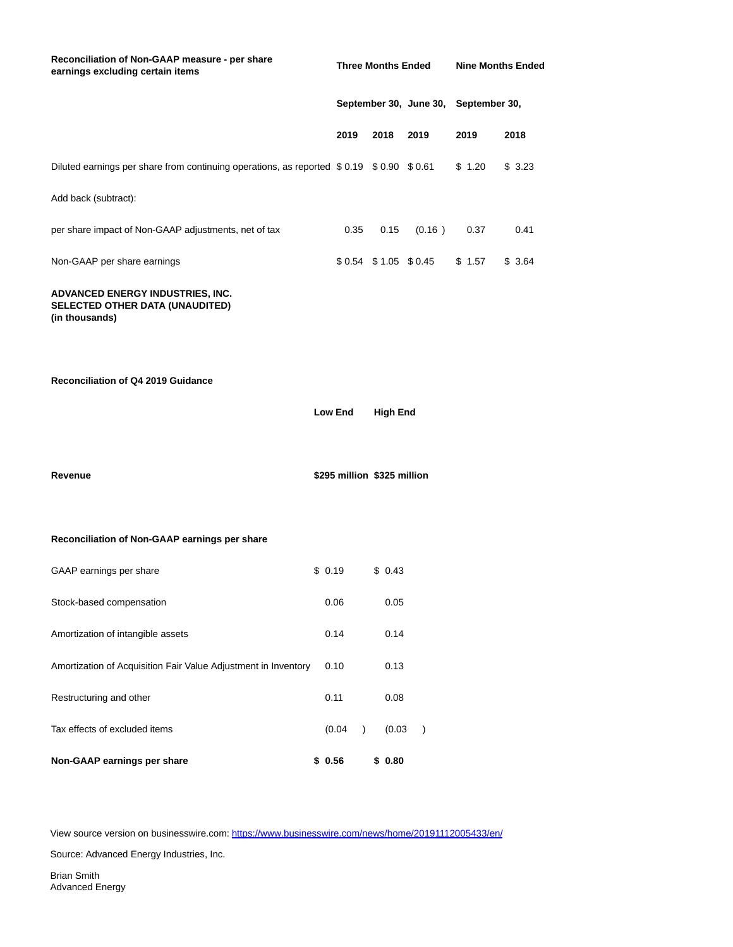| Reconciliation of Non-GAAP measure - per share<br>earnings excluding certain items      |                             | <b>Three Months Ended</b> |                 |                         |               | <b>Nine Months Ended</b> |        |  |  |
|-----------------------------------------------------------------------------------------|-----------------------------|---------------------------|-----------------|-------------------------|---------------|--------------------------|--------|--|--|
|                                                                                         |                             | September 30, June 30,    |                 |                         | September 30, |                          |        |  |  |
|                                                                                         | 2019                        |                           | 2018            | 2019                    |               | 2019                     | 2018   |  |  |
| Diluted earnings per share from continuing operations, as reported \$0.19 \$0.90 \$0.61 |                             |                           |                 |                         |               | \$1.20                   | \$3.23 |  |  |
| Add back (subtract):                                                                    |                             |                           |                 |                         |               |                          |        |  |  |
| per share impact of Non-GAAP adjustments, net of tax                                    |                             | 0.35                      | 0.15            | (0.16)                  |               | 0.37                     | 0.41   |  |  |
| Non-GAAP per share earnings                                                             |                             |                           |                 | $$0.54$ $$1.05$ $$0.45$ |               | \$1.57                   | \$3.64 |  |  |
| ADVANCED ENERGY INDUSTRIES, INC.<br>SELECTED OTHER DATA (UNAUDITED)<br>(in thousands)   |                             |                           |                 |                         |               |                          |        |  |  |
| Reconciliation of Q4 2019 Guidance                                                      | <b>Low End</b>              |                           | <b>High End</b> |                         |               |                          |        |  |  |
| Revenue                                                                                 | \$295 million \$325 million |                           |                 |                         |               |                          |        |  |  |
| Reconciliation of Non-GAAP earnings per share                                           |                             |                           |                 |                         |               |                          |        |  |  |
| GAAP earnings per share                                                                 | \$0.19                      |                           | \$0.43          |                         |               |                          |        |  |  |
| Stock-based compensation                                                                | 0.06                        |                           | 0.05            |                         |               |                          |        |  |  |
| Amortization of intangible assets                                                       | 0.14                        |                           | 0.14            |                         |               |                          |        |  |  |
| Amortization of Acquisition Fair Value Adjustment in Inventory                          | 0.10                        |                           | 0.13            |                         |               |                          |        |  |  |

View source version on businesswire.com:<https://www.businesswire.com/news/home/20191112005433/en/>

Restructuring and other **1.1 Container 1.1** O.08

**Non-GAAP earnings per share \$ 0.56 \$ 0.80**

Tax effects of excluded items (0.04 ) (0.03 )

Source: Advanced Energy Industries, Inc.